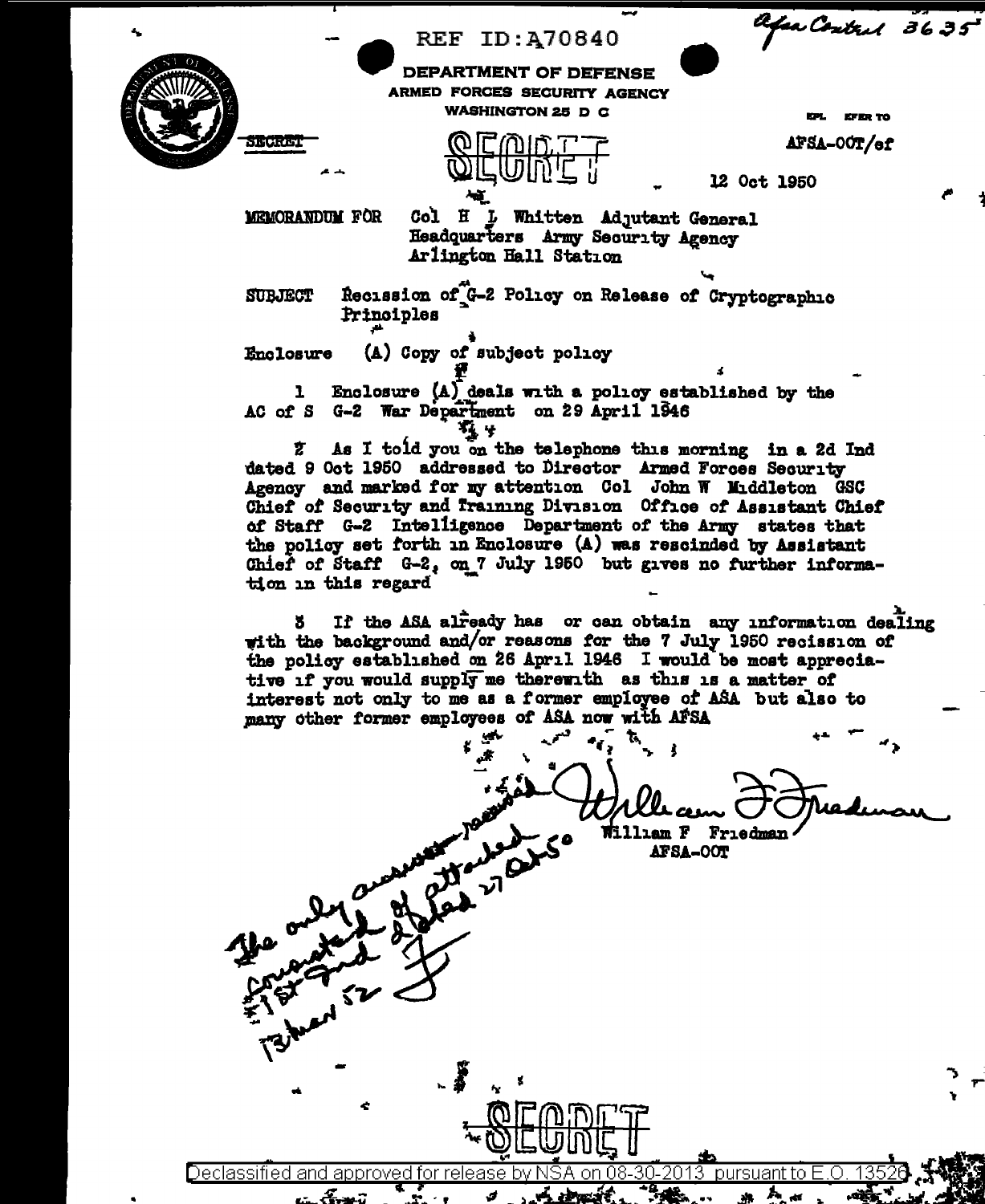

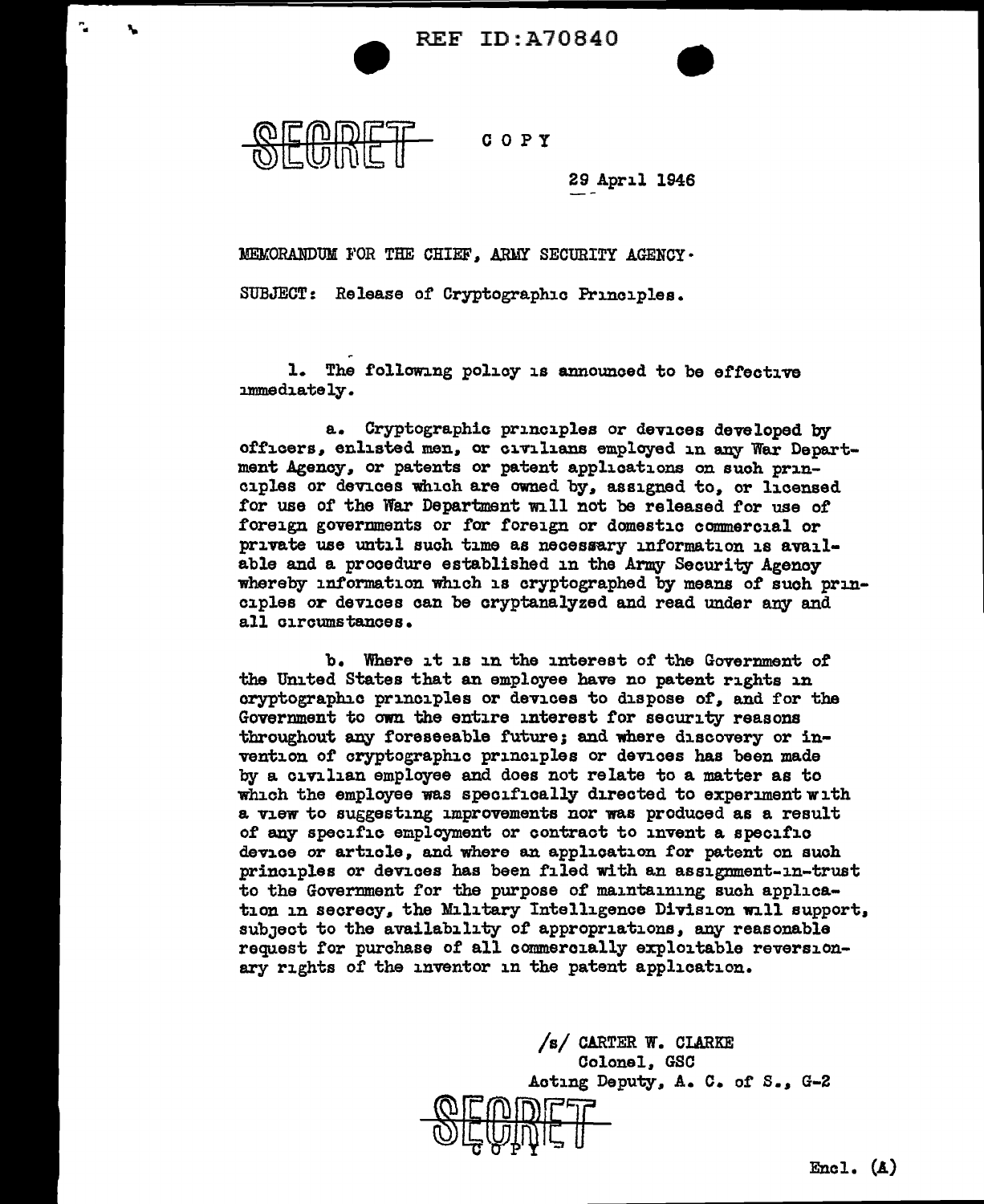**REF ID:A70840** 



",.

COPY

29 April 1946

MEMORANDUM FOR THE CHIEF, ARMY SECURITY AGENCY •

SUBJECT: Release of Cryptographic Principles.

1. The following policy is announced to be effective ammediately.

a. Cryptographic principles or devices developed by officers, enlisted men. or civilians employed in any War Department Agency. or patents or patent applications on suoh principles or devices which are owned by. assigned to. or licensed for use of the War Department will not be released for use of foreign governments or for foreign or domestic commercial or private use until such time as necessary information is available and a procedure established in the Army Security Agency whereby information which is cryptographed by means of such principles or devices can be cryptanalyzed and read under any and all circumstances.

b. Where it is in the interest of the Government of the United States that an employee have no patent rights in cryptographic principles or devices to dispose of. and for the Government to own the entire interest for security reasons throughout any foreseeable future; and where discovery or invention or cryptographic principles or devices has been made by a civilian employee and does not relate to a matter as to which the employee was specifically directed to experiment with a view to suggesting improvements nor was produced as a result 0£ any specific employment or contract to invent a specific device or article, and where an application for patent on such principles or devices has been filed with an assigmnent-in-trust to the Government for the purpose of maintaining such application in secrecy, the Military Intelligence Division will support, subject to the availability of appropriations, any reasonable request tor purchase of all commercially exploitable reversionary rights of the inventor in the patent application.

> /s/ CARTER W. CLARKE Colonel. GSC Acting Deputy, A. C. of S., G-2  $\bigcirc$ ျှောက်ကျ